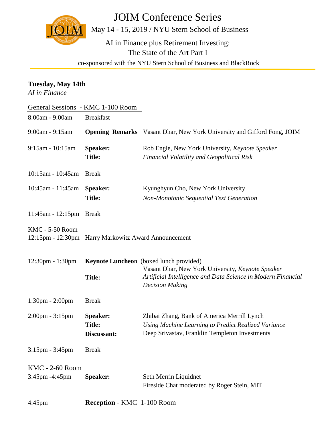JOIM Conference Series



May 14 - 15, 2019 / NYU Stern School of Business

AI in Finance plus Retirement Investing: The State of the Art Part I

co-sponsored with the NYU Stern School of Business and BlackRock

| Tuesday, May 14th<br>AI in Finance |                                                      |                                                                                                                                             |  |  |
|------------------------------------|------------------------------------------------------|---------------------------------------------------------------------------------------------------------------------------------------------|--|--|
| General Sessions - KMC 1-100 Room  |                                                      |                                                                                                                                             |  |  |
| 8:00am - 9:00am                    | <b>Breakfast</b>                                     |                                                                                                                                             |  |  |
| 9:00am - 9:15am                    |                                                      | <b>Opening Remarks</b> Vasant Dhar, New York University and Gifford Fong, JOIM                                                              |  |  |
| 9:15am - 10:15am                   | <b>Speaker:</b><br><b>Title:</b>                     | Rob Engle, New York University, Keynote Speaker<br><b>Financial Volatility and Geopolitical Risk</b>                                        |  |  |
| $10:15$ am - $10:45$ am            | <b>Break</b>                                         |                                                                                                                                             |  |  |
| 10:45am - 11:45am                  | Speaker:                                             | Kyunghyun Cho, New York University                                                                                                          |  |  |
|                                    | <b>Title:</b>                                        | <b>Non-Monotonic Sequential Text Generation</b>                                                                                             |  |  |
| 11:45am - 12:15pm Break            |                                                      |                                                                                                                                             |  |  |
| <b>KMC - 5-50 Room</b>             | 12:15pm - 12:30pm Harry Markowitz Award Announcement |                                                                                                                                             |  |  |
| $12:30 \text{pm} - 1:30 \text{pm}$ |                                                      | Keynote Luncheon (boxed lunch provided)                                                                                                     |  |  |
|                                    | <b>Title:</b>                                        | Vasant Dhar, New York University, Keynote Speaker<br>Artificial Intelligence and Data Science in Modern Financial<br><b>Decision Making</b> |  |  |
| $1:30 \text{pm} - 2:00 \text{pm}$  | <b>Break</b>                                         |                                                                                                                                             |  |  |
| $2:00 \text{pm} - 3:15 \text{pm}$  | Speaker:                                             | Zhibai Zhang, Bank of America Merrill Lynch                                                                                                 |  |  |
|                                    | <b>Title:</b>                                        | Using Machine Learning to Predict Realized Variance                                                                                         |  |  |
|                                    | Discussant:                                          | Deep Srivastav, Franklin Templeton Investments                                                                                              |  |  |
| $3:15$ pm - $3:45$ pm              | <b>Break</b>                                         |                                                                                                                                             |  |  |
| <b>KMC - 2-60 Room</b>             |                                                      |                                                                                                                                             |  |  |
| 3:45pm -4:45pm                     | <b>Speaker:</b>                                      | Seth Merrin Liquidnet<br>Fireside Chat moderated by Roger Stein, MIT                                                                        |  |  |

4:45pm **Reception** - KMC 1-100 Room